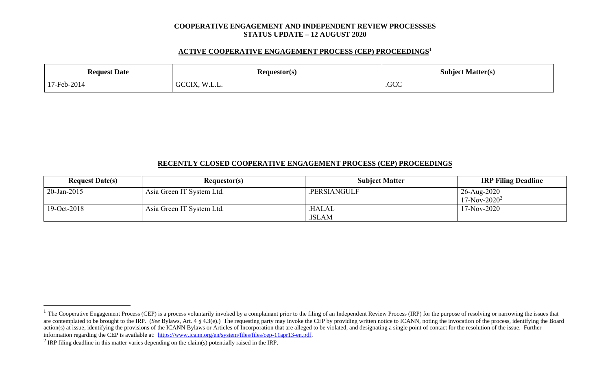#### **COOPERATIVE ENGAGEMENT AND INDEPENDENT REVIEW PROCESSSES STATUS UPDATE – 12 AUGUST 2020**

### **ACTIVE COOPERATIVE ENGAGEMENT PROCESS (CEP) PROCEEDINGS** 1

| n.<br><b>Date</b><br>teanest   | {equestor(s)    | Subject Matter(s)         |  |
|--------------------------------|-----------------|---------------------------|--|
| $-2014$<br>$17$ -Feb- $\angle$ | UU<br>، سا. سا. | $\Gamma$<br>.UU<br>$   -$ |  |

# **RECENTLY CLOSED COOPERATIVE ENGAGEMENT PROCESS (CEP) PROCEEDINGS**

| <b>Request Date(s)</b> | <b>Requestor(s)</b>       | <b>Subject Matter</b> | <b>IRP Filing Deadline</b>     |
|------------------------|---------------------------|-----------------------|--------------------------------|
| $20$ -Jan-2015         | Asia Green IT System Ltd. | .PERSIANGULF          | 26-Aug-2020<br>$17-Nov-2020^2$ |
| 19-Oct-2018            | Asia Green IT System Ltd. | .HALAL<br>.ISLAM      | $17-Nov-2020$                  |

 $1$  The Cooperative Engagement Process (CEP) is a process voluntarily invoked by a complainant prior to the filing of an Independent Review Process (IRP) for the purpose of resolving or narrowing the issues that are contemplated to be brought to the IRP. (*See* Bylaws, Art. 4 § 4.3(e).) The requesting party may invoke the CEP by providing written notice to ICANN, noting the invocation of the process, identifying the Board action(s) at issue, identifying the provisions of the ICANN Bylaws or Articles of Incorporation that are alleged to be violated, and designating a single point of contact for the resolution of the issue. Further information regarding the CEP is available at: [https://www.icann.org/en/system/files/files/cep-11apr13-en.pdf.](https://www.icann.org/en/system/files/files/cep-11apr13-en.pdf)

<sup>&</sup>lt;sup>2</sup> IRP filing deadline in this matter varies depending on the claim(s) potentially raised in the IRP.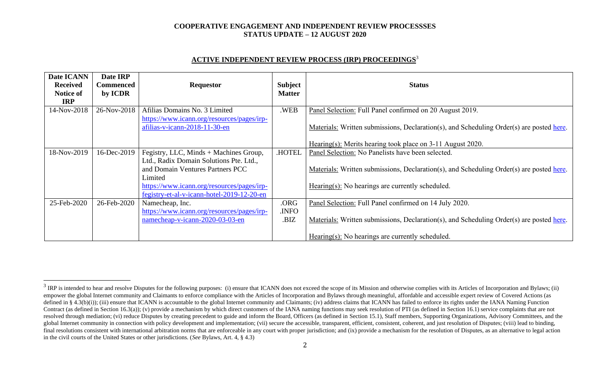#### **COOPERATIVE ENGAGEMENT AND INDEPENDENT REVIEW PROCESSSES STATUS UPDATE – 12 AUGUST 2020**

## **ACTIVE INDEPENDENT REVIEW PROCESS (IRP) PROCEEDINGS** 3

| Date ICANN<br><b>Received</b><br>Notice of<br><b>IRP</b> | Date IRP<br>Commenced<br>by ICDR | <b>Requestor</b>                                                            | <b>Subject</b><br><b>Matter</b> | <b>Status</b>                                                                            |  |
|----------------------------------------------------------|----------------------------------|-----------------------------------------------------------------------------|---------------------------------|------------------------------------------------------------------------------------------|--|
| 14-Nov-2018                                              | 26-Nov-2018                      | Afilias Domains No. 3 Limited<br>https://www.icann.org/resources/pages/irp- | .WEB                            | Panel Selection: Full Panel confirmed on 20 August 2019.                                 |  |
|                                                          |                                  | afilias-v-icann-2018-11-30-en                                               |                                 | Materials: Written submissions, Declaration(s), and Scheduling Order(s) are posted here. |  |
|                                                          |                                  |                                                                             |                                 | Hearing(s): Merits hearing took place on 3-11 August 2020.                               |  |
| 18-Nov-2019                                              | 16-Dec-2019                      | Fegistry, LLC, Minds + Machines Group,                                      | <b>HOTEL</b>                    | Panel Selection: No Panelists have been selected.                                        |  |
|                                                          |                                  | Ltd., Radix Domain Solutions Pte. Ltd.,                                     |                                 |                                                                                          |  |
|                                                          |                                  | and Domain Ventures Partners PCC                                            |                                 | Materials: Written submissions, Declaration(s), and Scheduling Order(s) are posted here. |  |
|                                                          |                                  | Limited                                                                     |                                 |                                                                                          |  |
|                                                          |                                  | https://www.icann.org/resources/pages/irp-                                  |                                 | $Hearing(s)$ : No hearings are currently scheduled.                                      |  |
|                                                          |                                  | fegistry-et-al-v-icann-hotel-2019-12-20-en                                  |                                 |                                                                                          |  |
| 25-Feb-2020                                              | 26-Feb-2020                      | Namecheap, Inc.                                                             | .ORG                            | Panel Selection: Full Panel confirmed on 14 July 2020.                                   |  |
|                                                          |                                  | https://www.icann.org/resources/pages/irp-                                  | .INFO                           |                                                                                          |  |
|                                                          |                                  | namecheap-v-icann-2020-03-03-en                                             | .BIZ                            | Materials: Written submissions, Declaration(s), and Scheduling Order(s) are posted here. |  |
|                                                          |                                  |                                                                             |                                 | Hearing(s): No hearings are currently scheduled.                                         |  |

 $3$  IRP is intended to hear and resolve Disputes for the following purposes: (i) ensure that ICANN does not exceed the scope of its Mission and otherwise complies with its Articles of Incorporation and Bylaws; (ii) empower the global Internet community and Claimants to enforce compliance with the Articles of Incorporation and Bylaws through meaningful, affordable and accessible expert review of Covered Actions (as defined in § 4.3(b)(i)); (iii) ensure that ICANN is accountable to the global Internet community and Claimants; (iv) address claims that ICANN has failed to enforce its rights under the IANA Naming Function Contract (as defined in Section 16.3(a)); (v) provide a mechanism by which direct customers of the IANA naming functions may seek resolution of PTI (as defined in Section 16.1) service complaints that are not resolved through mediation; (vi) reduce Disputes by creating precedent to guide and inform the Board, Officers (as defined in Section 15.1), Staff members, Supporting Organizations, Advisory Committees, and the global Internet community in connection with policy development and implementation; (vii) secure the accessible, transparent, efficient, consistent, coherent, and just resolution of Disputes; (viii) lead to binding, final resolutions consistent with international arbitration norms that are enforceable in any court with proper jurisdiction; and (ix) provide a mechanism for the resolution of Disputes, as an alternative to legal action in the civil courts of the United States or other jurisdictions. (*See* Bylaws, Art. 4, § 4.3)